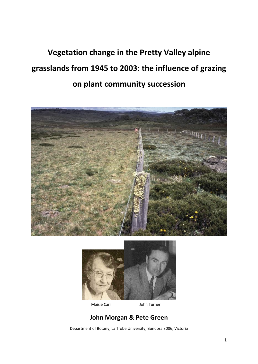# **Vegetation change in the Pretty Valley alpine grasslands from 1945 to 2003: the influence of grazing on plant community succession**





Maisie Carr John Turner

## **John Morgan & Pete Green**

Department of Botany, La Trobe University, Bundora 3086, Victoria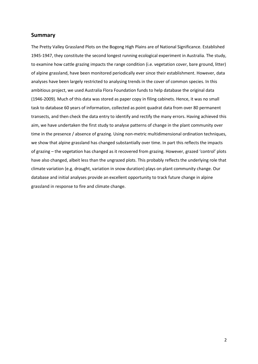## **Summary**

The Pretty Valley Grassland Plots on the Bogong High Plains are of National Significance. Established 1945-1947, they constitute the second longest running ecological experiment in Australia. The study, to examine how cattle grazing impacts the range condition (i.e. vegetation cover, bare ground, litter) of alpine grassland, have been monitored periodically ever since their establishment. However, data analyses have been largely restricted to analysing trends in the cover of common species. In this ambitious project, we used Australia Flora Foundation funds to help database the original data (1946-2009). Much of this data was stored as paper copy in filing cabinets. Hence, it was no small task to database 60 years of information, collected as point quadrat data from over 80 permanent transects, and then check the data entry to identify and rectify the many errors. Having achieved this aim, we have undertaken the first study to analyse patterns of change in the plant community over time in the presence / absence of grazing. Using non-metric multidimensional ordination techniques, we show that alpine grassland has changed substantially over time. In part this reflects the impacts of grazing – the vegetation has changed as it recovered from grazing. However, grazed 'control' plots have also changed, albeit less than the ungrazed plots. This probably reflects the underlying role that climate variation (e.g. drought, variation in snow duration) plays on plant community change. Our database and initial analyses provide an excellent opportunity to track future change in alpine grassland in response to fire and climate change.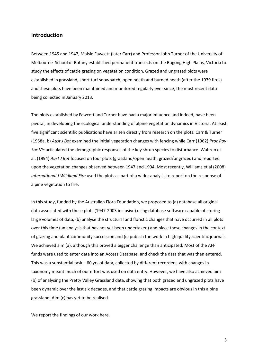### **Introduction**

Between 1945 and 1947, Maisie Fawcett (later Carr) and Professor John Turner of the University of Melbourne School of Botany established permanent transects on the Bogong High Plains, Victoria to study the effects of cattle grazing on vegetation condition. Grazed and ungrazed plots were established in grassland, short turf snowpatch, open heath and burned heath (after the 1939 fires) and these plots have been maintained and monitored regularly ever since, the most recent data being collected in January 2013.

The plots established by Fawcett and Turner have had a major influence and indeed, have been pivotal, in developing the ecological understanding of alpine vegetation dynamics in Victoria. At least five significant scientific publications have arisen directly from research on the plots. Carr & Turner (1958a, b) *Aust J Bot* examined the initial vegetation changes with fencing while Carr (1962) *Proc Roy Soc Vic* articulated the demographic responses of the key shrub species to disturbance. Wahren et al. (1994) *Aust J Bot* focused on four plots (grassland/open heath, grazed/ungrazed) and reported upon the vegetation changes observed between 1947 and 1994. Most recently, Williams et al (2008) *International J Wildland Fire* used the plots as part of a wider analysis to report on the response of alpine vegetation to fire.

In this study, funded by the Australian Flora Foundation, we proposed to (a) database all original data associated with these plots (1947-2003 inclusive) using database software capable of storing large volumes of data, (b) analyse the structural and floristic changes that have occurred in all plots over this time (an analysis that has not yet been undertaken) and place these changes in the context of grazing and plant community succession and (c) publish the work in high quality scientific journals. We achieved aim (a), although this proved a bigger challenge than anticipated. Most of the AFF funds were used to enter data into an Access Database, and check the data that was then entered. This was a substantial task – 60 yrs of data, collected by different recorders, with changes in taxonomy meant much of our effort was used on data entry. However, we have also achieved aim (b) of analysing the Pretty Valley Grassland data, showing that both grazed and ungrazed plots have been dynamic over the last six decades, and that cattle grazing impacts are obvious in this alpine grassland. Aim (c) has yet to be realised.

We report the findings of our work here.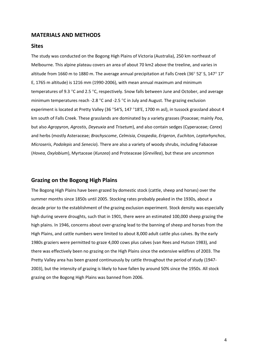#### **MATERIALS AND METHODS**

#### **Sites**

The study was conducted on the Bogong High Plains of Victoria (Australia), 250 km northeast of Melbourne. This alpine plateau covers an area of about 70 km2 above the treeline, and varies in altitude from 1660 m to 1880 m. The average annual precipitation at Falls Creek (36 $^{\circ}$  52' S, 147 $^{\circ}$  17' E, 1765 m altitude) is 1216 mm (1990-2006), with mean annual maximum and minimum temperatures of 9.3 °C and 2.5 °C, respectively. Snow falls between June and October, and average minimum temperatures reach -2.8  $\degree$ C and -2.5  $\degree$ C in July and August. The grazing exclusion experiment is located at Pretty Valley (36 °54'S, 147 °18'E, 1700 m asl), in tussock grassland about 4 km south of Falls Creek. These grasslands are dominated by a variety grasses (Poaceae; mainly *Poa*, but also *Agropyron*, *Agrostis*, *Deyeuxia* and *Trisetum*), and also contain sedges (Cyperaceae; *Carex*) and herbs (mostly Asteraceae; *Brachyscome*, *Celmisia*, *Craspedia*, *Erigeron*, *Euchiton*, *Leptorhynchos*, *Microseris*, *Podolepis* and *Senecio*). There are also a variety of woody shrubs, including Fabaceae (*Hovea*, *Oxylobium*), Myrtaceae (*Kunzea*) and Proteaceae (*Grevillea*), but these are uncommon

#### **Grazing on the Bogong High Plains**

The Bogong High Plains have been grazed by domestic stock (cattle, sheep and horses) over the summer months since 1850s until 2005. Stocking rates probably peaked in the 1930s, about a decade prior to the establishment of the grazing exclusion experiment. Stock density was especially high during severe droughts, such that in 1901, there were an estimated 100,000 sheep grazing the high plains. In 1946, concerns about over-grazing lead to the banning of sheep and horses from the High Plains, and cattle numbers were limited to about 8,000 adult cattle plus calves. By the early 1980s graziers were permitted to graze 4,000 cows plus calves (van Rees and Hutson 1983), and there was effectively been no grazing on the High Plains since the extensive wildfires of 2003. The Pretty Valley area has been grazed continuously by cattle throughout the period of study (1947- 2003), but the intensity of grazing is likely to have fallen by around 50% since the 1950s. All stock grazing on the Bogong High Plains was banned from 2006.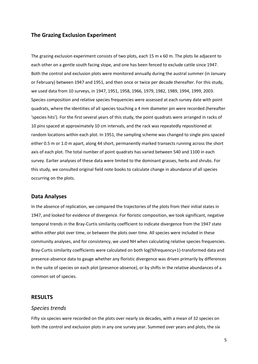## **The Grazing Exclusion Experiment**

The grazing exclusion experiment consists of two plots, each 15 m x 60 m. The plots lie adjacent to each other on a gentle south facing slope, and one has been fenced to exclude cattle since 1947. Both the control and exclusion plots were monitored annually during the austral summer (in January or February) between 1947 and 1951, and then once or twice per decade thereafter. For this study, we used data from 10 surveys, in 1947, 1951, 1958, 1966, 1979, 1982, 1989, 1994, 1999, 2003. Species composition and relative species frequencies were assessed at each survey date with point quadrats, where the identities of all species touching a 4 mm diameter pin were recorded (hereafter 'species hits'). For the first several years of this study, the point quadrats were arranged in racks of 10 pins spaced at approximately 10 cm intervals, and the rack was repeatedly repositioned at random locations within each plot. In 1951, the sampling scheme was changed to single pins spaced either 0.5 m or 1.0 m apart, along 44 short, permanently marked transects running across the short axis of each plot. The total number of point quadrats has varied between 540 and 1100 in each survey. Earlier analyses of these data were limited to the dominant grasses, herbs and shrubs. For this study, we consulted original field note books to calculate change in abundance of all species occurring on the plots.

#### **Data Analyses**

In the absence of replication, we compared the trajectories of the plots from their initial states in 1947, and looked for evidence of divergence. For floristic composition, we took significant, negative temporal trends in the Bray-Curtis similarity coefficient to indicate divergence from the 1947 state within either plot over time, or between the plots over time. All species were included in these community analyses, and for consistency, we used NH when calculating relative species frequencies. Bray-Curtis similarity coefficients were calculated on both log(%frequency+1)-transformed data and presence-absence data to gauge whether any floristic divergence was driven primarily by differences in the suite of species on each plot (presence-absence), or by shifts in the relative abundances of a common set of species.

## **RESULTS**

#### *Species trends*

Fifty six species were recorded on the plots over nearly six decades, with a mean of 32 species on both the control and exclusion plots in any one survey year. Summed over years and plots, the six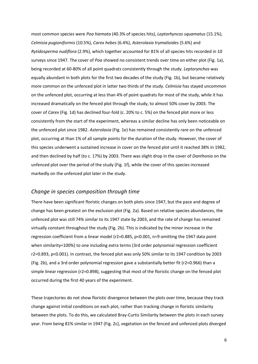most common species were *Poa hiemata* (40.3% of species hits), *Leptorhyncos squamatus* (15.1%), *Celmisia pugioniformis* (10.5%), *Carex hebes* (6.4%), *Asterolasia trymalioides* (5.6%) and *Rytidosperma nudiflora* (2.9%), which together accounted for 81% of all species hits recorded in 10 surveys since 1947. The cover of *Poa* showed no consistent trends over time on either plot (Fig. 1a), being recorded at 60-80% of all point quadrats consistently through the study. *Leptorynchos* was equally abundant in both plots for the first two decades of the study (Fig. 1b), but became relatively more common on the unfenced plot in latter two thirds of the study. *Celmisia* has stayed uncommon on the unfenced plot, occurring at less than 4% of point quadrats for most of the study, while it has increased dramatically on the fenced plot through the study, to almost 50% cover by 2003. The cover of *Carex* (Fig. 1d) has declined four-fold (c. 20% to c. 5%) on the fenced plot more or less consistently from the start of the experiment, whereas a similar decline has only been noticeable on the unfenced plot since 1982. *Asterolasia* (Fig. 1e) has remained consistently rare on the unfenced plot, occurring at than 1% of all sample points for the duration of the study. However, the cover of this species underwent a sustained increase in cover on the fenced plot until it reached 38% in 1982, and then declined by half (to c. 17%) by 2003. There was slight drop in the cover of *Danthonia* on the unfenced plot over the period of the study (Fig. 1f), while the cover of this species increased markedly on the unfenced plot later in the study.

### *Change in species composition through time*

There have been significant floristic changes on both plots since 1947, but the pace and degree of change has been greatest on the exclusion plot (Fig. 2a). Based on relative species abundances, the unfenced plot was still 74% similar to its 1947 state by 2003, and the rate of change has remained virtually constant throughout the study (Fig. 2b). This is indicated by the minor increase in the regression coefficient from a linear model (r2=0.885, p<0.001, n=9 omitting the 1947 data point when similarity=100%) to one including extra terms (3rd order polynomial regression coefficient r2=0.893, p<0.001). In contrast, the fenced plot was only 50% similar to its 1947 condition by 2003 (Fig. 2b), and a 3rd order polynomial regression gave a substantially better fit (r2=0.966) than a simple linear regression (r2=0.898), suggesting that most of the floristic change on the fenced plot occurred during the first 40 years of the experiment.

These trajectories do not show floristic divergence between the plots over time, because they track change against initial conditions on each plot, rather than tracking change in floristic similarity between the plots. To do this, we calculated Bray-Curtis Similarity between the plots in each survey year. From being 81% similar in 1947 (Fig. 2c), vegetation on the fenced and unfenced plots diverged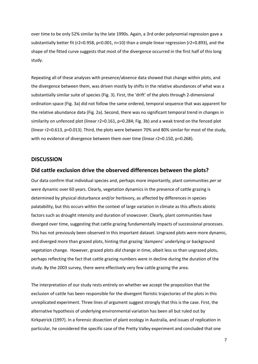over time to be only 52% similar by the late 1990s. Again, a 3rd order polynomial regression gave a substantially better fit (r2=0.958, p<0.001, n=10) than a simple linear regression (r2=0.893), and the shape of the fitted curve suggests that most of the divergence occurred in the first half of this long study.

Repeating all of these analyses with presence/absence data showed that change within plots, and the divergence between them, was driven mostly by shifts in the relative abundances of what was a substantially similar suite of species (Fig. 3). First, the 'drift' of the plots through 2-dimensional ordination space (Fig. 3a) did not follow the same ordered, temporal sequence that was apparent for the relative abundance data (Fig. 2a). Second, there was no significant temporal trend in changes in similarity on unfenced plot (linear r2=0.161, p=0.284; Fig. 3b) and a weak trend on the fenced plot (linear r2=0.613, p=0.013). Third, the plots were between 70% and 80% similar for most of the study, with no evidence of divergence between them over time (linear r2=0.150, p=0.268).

#### **DISCUSSION**

#### **Did cattle exclusion drive the observed differences between the plots?**

Our data confirm that individual species and, perhaps more importantly, plant communities *per se*  were dynamic over 60 years. Clearly, vegetation dynamics in the presence of cattle grazing is determined by physical disturbance and/or herbivory, as affected by differences in species palatability, but this occurs within the context of large variation in climate as this affects abiotic factors such as drought intensity and duration of snowcover. Clearly, plant communities have diverged over time, suggesting that cattle grazing fundamentally impacts of successional processes. This has not previously been observed in this important dataset. Ungrazed plots were more dynamic, and diverged more than grazed plots, hinting that grazing 'dampens' underlying or background vegetation change. However, grazed plots *did* change in time, albeit less so than ungrazed plots, perhaps reflecting the fact that cattle grazing numbers were in decline during the duration of the study. By the 2003 survey, there were effectively very few cattle grazing the area.

The interpretation of our study rests entirely on whether we accept the proposition that the exclusion of cattle has been responsible for the divergent floristic trajectories of the plots in this unreplicated experiment. Three lines of argument suggest strongly that this is the case. First, the alternative hypothesis of underlying environmental variation has been all but ruled out by Kirkpatrick (1997). In a forensic dissection of plant ecology in Australia, and issues of replication in particular, he considered the specific case of the Pretty Valley experiment and concluded that one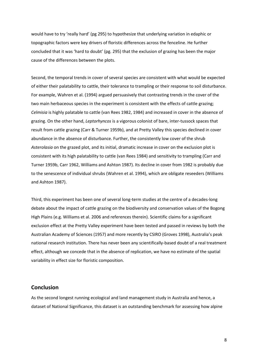would have to try 'really hard' (pg 295) to hypothesize that underlying variation in edaphic or topographic factors were key drivers of floristic differences across the fenceline. He further concluded that it was 'hard to doubt' (pg. 295) that the exclusion of grazing has been the major cause of the differences between the plots.

Second, the temporal trends in cover of several species are consistent with what would be expected of either their palatability to cattle, their tolerance to trampling or their response to soil disturbance. For example, Wahren et al. (1994) argued persuasively that contrasting trends in the cover of the two main herbaceous species in the experiment is consistent with the effects of cattle grazing; *Celmisia* is highly palatable to cattle (van Rees 1982, 1984) and increased in cover in the absence of grazing. On the other hand, *Leptorhyncos* is a vigorous colonist of bare, inter-tussock spaces that result from cattle grazing (Carr & Turner 1959b), and at Pretty Valley this species declined in cover abundance in the absence of disturbance. Further, the consistently low cover of the shrub *Asterolasia* on the grazed plot, and its initial, dramatic increase in cover on the exclusion plot is consistent with its high palatability to cattle (van Rees 1984) and sensitivity to trampling (Carr and Turner 1959b, Carr 1962, Williams and Ashton 1987). Its decline in cover from 1982 is probably due to the senescence of individual shrubs (Wahren et al. 1994), which are obligate reseeders (Williams and Ashton 1987).

Third, this experiment has been one of several long-term studies at the centre of a decades-long debate about the impact of cattle grazing on the biodiversity and conservation values of the Bogong High Plains (e.g. Williams et al. 2006 and references therein). Scientific claims for a significant exclusion effect at the Pretty Valley experiment have been tested and passed in reviews by both the Australian Academy of Sciences (1957) and more recently by CSIRO (Groves 1998), Australia's peak national research institution. There has never been any scientifically-based doubt of a real treatment effect, although we concede that in the absence of replication, we have no estimate of the spatial variability in effect size for floristic composition.

### **Conclusion**

As the second longest running ecological and land management study in Australia and hence, a dataset of National Significance, this dataset is an outstanding benchmark for assessing how alpine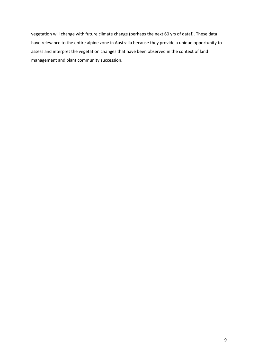vegetation will change with future climate change (perhaps the next 60 yrs of data!). These data have relevance to the entire alpine zone in Australia because they provide a unique opportunity to assess and interpret the vegetation changes that have been observed in the context of land management and plant community succession.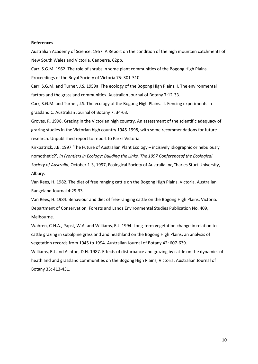#### **References**

Australian Academy of Science. 1957. A Report on the condition of the high mountain catchments of New South Wales and Victoria. Canberra. 62pp.

Carr, S.G.M. 1962. The role of shrubs in some plant communities of the Bogong High Plains. Proceedings of the Royal Society of Victoria 75: 301-310.

Carr, S.G.M. and Turner, J.S. 1959a. The ecology of the Bogong High Plains. I. The environmental factors and the grassland communities. Australian Journal of Botany 7:12-33.

Carr, S.G.M. and Turner, J.S. The ecology of the Bogong High Plains. II. Fencing experiments in grassland C. Australian Journal of Botany 7: 34-63.

Groves, R. 1998. Grazing in the Victorian high country. An assessment of the scientific adequacy of grazing studies in the Victorian high country 1945-1998, with some recommendations for future research. Unpublished report to report to Parks Victoria.

Kirkpatrick, J.B. 1997 'The Future of Australian Plant Ecology – incisively idiographic or nebulously nomothetic?', *in Frontiers in Ecology: Building the Links, The 1997 Conferenceof the Ecological Society of Australia*, October 1-3, 1997, Ecological Society of Australia Inc,Charles Sturt University, Albury.

Van Rees, H. 1982. The diet of free ranging cattle on the Bogong High Plains, Victoria. Australian Rangeland Journal 4:29-33.

Van Rees, H. 1984. Behaviour and diet of free-ranging cattle on the Bogong High Plains, Victoria. Department of Conservation, Forests and Lands Environmental Studies Publication No. 409, Melbourne.

Wahren, C-H.A., Papst, W.A. and Williams, R.J. 1994. Long-term vegetation change in relation to cattle grazing in subalpine grassland and heathland on the Bogong High Plains: an analysis of vegetation records from 1945 to 1994. Australian Journal of Botany 42: 607-639.

Williams, R.J and Ashton, D.H. 1987. Effects of disturbance and grazing by cattle on the dynamics of heathland and grassland communities on the Bogong High Plains, Victoria. Australian Journal of Botany 35: 413-431.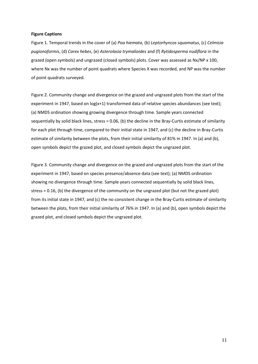#### **Figure Captions**

Figure 1. Temporal trends in the cover of (a) *Poa hiemata*, (b) *Leptorhyncos squamatus*, (c) *Celmisia pugionoformis*, (d) *Carex hebes*, (e) *Asterolasia trymalioides* and (f) *Rytidosperma nudiflora* in the grazed (open symbols) and ungrazed (closed symbols) plots. Cover was assessed as Nx/NP x 100, where Nx was the number of point quadrats where Species X was recorded, and NP was the number of point quadrats surveyed.

Figure 2. Community change and divergence on the grazed and ungrazed plots from the start of the experiment in 1947, based on log(x+1) transformed data of relative species abundances (see text); (a) NMDS ordination showing growing divergence through time. Sample years connected sequentially by solid black lines, stress = 0.06, (b) the decline in the Bray-Curtis estimate of similarity for each plot through time, compared to their initial state in 1947, and (c) the decline in Bray-Curtis estimate of similarity between the plots, from their initial similarity of 81% in 1947. In (a) and (b), open symbols depict the grazed plot, and closed symbols depict the ungrazed plot.

Figure 3. Community change and divergence on the grazed and ungrazed plots from the start of the experiment in 1947, based on species presence/absence data (see text); (a) NMDS ordination showing no divergence through time. Sample years connected sequentially by solid black lines, stress = 0.16, (b) the divergence of the community on the ungrazed plot (but not the grazed plot) from its initial state in 1947, and (c) the no consistent change in the Bray-Curtis estimate of similarity between the plots, from their initial similarity of 76% in 1947. In (a) and (b), open symbols depict the grazed plot, and closed symbols depict the ungrazed plot.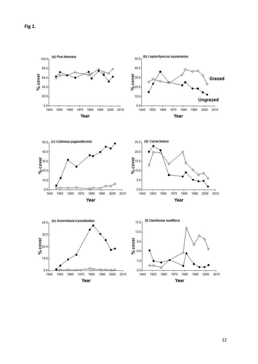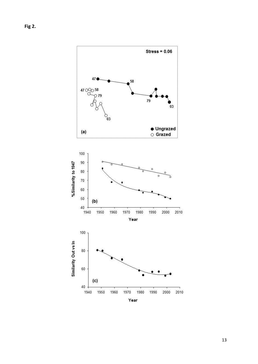

13